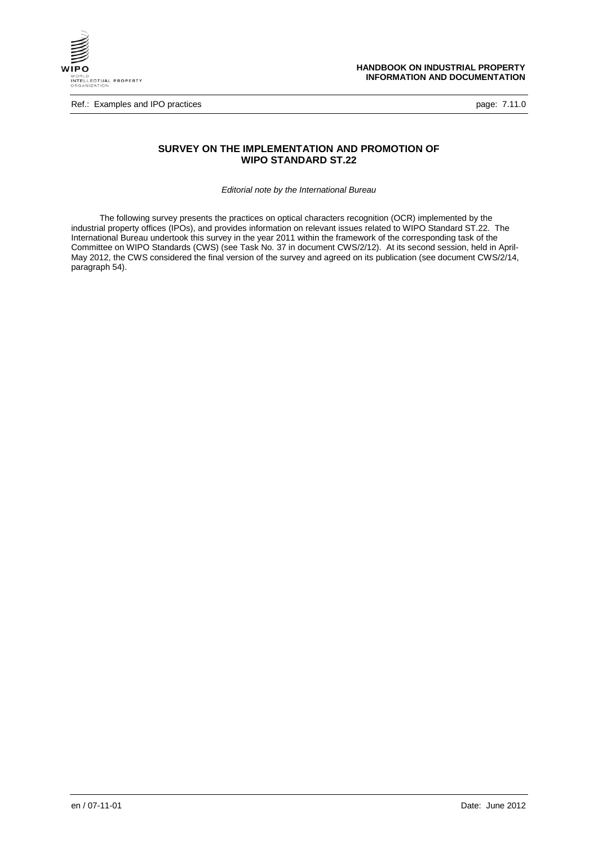

Ref.: Examples and IPO practices **page: 7.11.0** examples and IPO practices page: 7.11.0

# **SURVEY ON THE IMPLEMENTATION AND PROMOTION OF WIPO STANDARD ST.22**

*Editorial note by the International Bureau*

The following survey presents the practices on optical characters recognition (OCR) implemented by the industrial property offices (IPOs), and provides information on relevant issues related to WIPO Standard ST.22. The International Bureau undertook this survey in the year 2011 within the framework of the corresponding task of the Committee on WIPO Standards (CWS) (see Task No. 37 in document CWS/2/12). At its second session, held in April-May 2012, the CWS considered the final version of the survey and agreed on its publication (see document CWS/2/14, paragraph 54).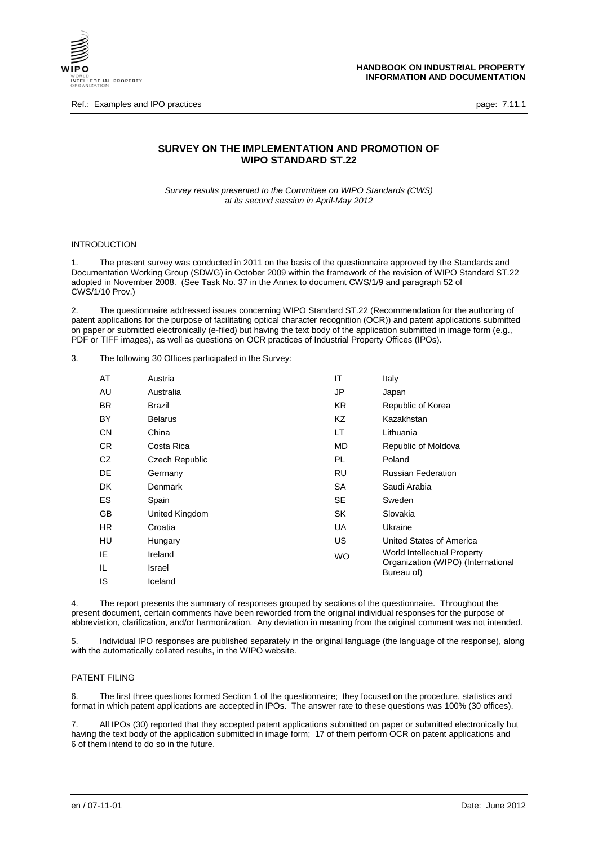

Ref.: Examples and IPO practices **page: 7.11.1** 

# **SURVEY ON THE IMPLEMENTATION AND PROMOTION OF WIPO STANDARD ST.22**

*Survey results presented to the Committee on WIPO Standards (CWS) at its second session in April-May 2012*

### INTRODUCTION

1. The present survey was conducted in 2011 on the basis of the questionnaire approved by the Standards and Documentation Working Group (SDWG) in October 2009 within the framework of the revision of WIPO Standard ST.22 adopted in November 2008. (See Task No. 37 in the Annex to document CWS/1/9 and paragraph 52 of CWS/1/10 Prov.)

2. The questionnaire addressed issues concerning WIPO Standard ST.22 (Recommendation for the authoring of patent applications for the purpose of facilitating optical character recognition (OCR)) and patent applications submitted on paper or submitted electronically (e-filed) but having the text body of the application submitted in image form (e.g., PDF or TIFF images), as well as questions on OCR practices of Industrial Property Offices (IPOs).

3. The following 30 Offices participated in the Survey:

| AT        | Austria        | IT        | Italy                                            |
|-----------|----------------|-----------|--------------------------------------------------|
| AU        | Australia      | JP        | Japan                                            |
| BR.       | Brazil         | KR.       | Republic of Korea                                |
| BY        | <b>Belarus</b> | KZ        | Kazakhstan                                       |
| <b>CN</b> | China          | LТ        | Lithuania                                        |
| CR.       | Costa Rica     | MD.       | Republic of Moldova                              |
| CZ.       | Czech Republic | PL.       | Poland                                           |
| DE        | Germany        | RU        | <b>Russian Federation</b>                        |
| <b>DK</b> | <b>Denmark</b> | <b>SA</b> | Saudi Arabia                                     |
| ES        | Spain          | <b>SE</b> | Sweden                                           |
| GB        | United Kingdom | SK        | Slovakia                                         |
| HR.       | Croatia        | UA        | Ukraine                                          |
| HU        | Hungary        | US.       | United States of America                         |
| IE        | Ireland        | <b>WO</b> | World Intellectual Property                      |
| IL        | Israel         |           | Organization (WIPO) (International<br>Bureau of) |
| IS        | Iceland        |           |                                                  |

4. The report presents the summary of responses grouped by sections of the questionnaire. Throughout the present document, certain comments have been reworded from the original individual responses for the purpose of abbreviation, clarification, and/or harmonization. Any deviation in meaning from the original comment was not intended.

5. Individual IPO responses are published separately in the original language (the language of the response), along with the automatically collated results, in the WIPO website.

## PATENT FILING

6. The first three questions formed Section 1 of the questionnaire; they focused on the procedure, statistics and format in which patent applications are accepted in IPOs. The answer rate to these questions was 100% (30 offices).

7. All IPOs (30) reported that they accepted patent applications submitted on paper or submitted electronically but having the text body of the application submitted in image form; 17 of them perform OCR on patent applications and 6 of them intend to do so in the future.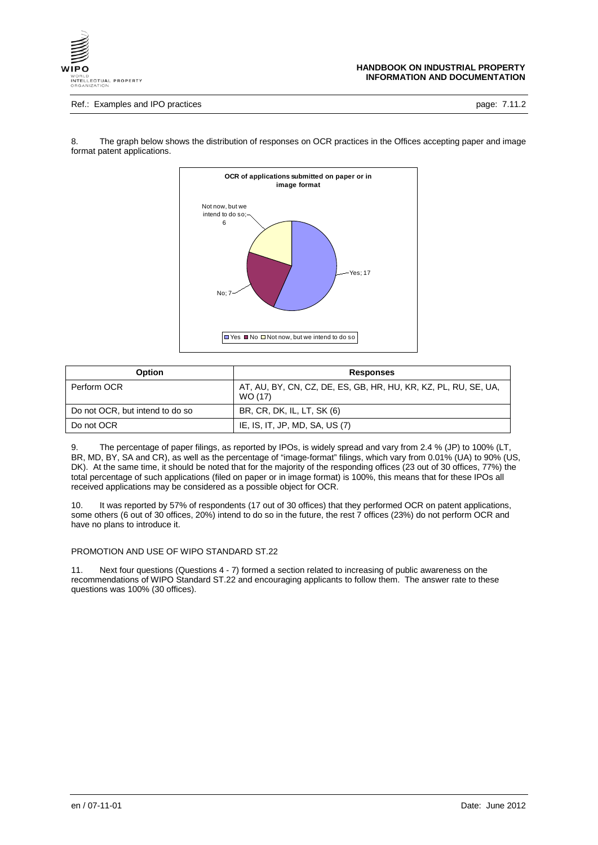

### Ref.: Examples and IPO practices **page: 7.11.2**



8. The graph below shows the distribution of responses on OCR practices in the Offices accepting paper and image format patent applications.

| <b>Option</b>                   | Responses                                                                  |
|---------------------------------|----------------------------------------------------------------------------|
| Perform OCR                     | AT, AU, BY, CN, CZ, DE, ES, GB, HR, HU, KR, KZ, PL, RU, SE, UA,<br>WO (17) |
| Do not OCR, but intend to do so | BR, CR, DK, IL, LT, SK (6)                                                 |
| Do not OCR                      | IE, IS, IT, JP, MD, SA, US (7)                                             |

9. The percentage of paper filings, as reported by IPOs, is widely spread and vary from 2.4 % (JP) to 100% (LT, BR, MD, BY, SA and CR), as well as the percentage of "image-format" filings, which vary from 0.01% (UA) to 90% (US, DK). At the same time, it should be noted that for the majority of the responding offices (23 out of 30 offices, 77%) the total percentage of such applications (filed on paper or in image format) is 100%, this means that for these IPOs all received applications may be considered as a possible object for OCR.

10. It was reported by 57% of respondents (17 out of 30 offices) that they performed OCR on patent applications, some others (6 out of 30 offices, 20%) intend to do so in the future, the rest 7 offices (23%) do not perform OCR and have no plans to introduce it.

#### PROMOTION AND USE OF WIPO STANDARD ST.22

11. Next four questions (Questions 4 - 7) formed a section related to increasing of public awareness on the recommendations of WIPO Standard ST.22 and encouraging applicants to follow them. The answer rate to these questions was 100% (30 offices).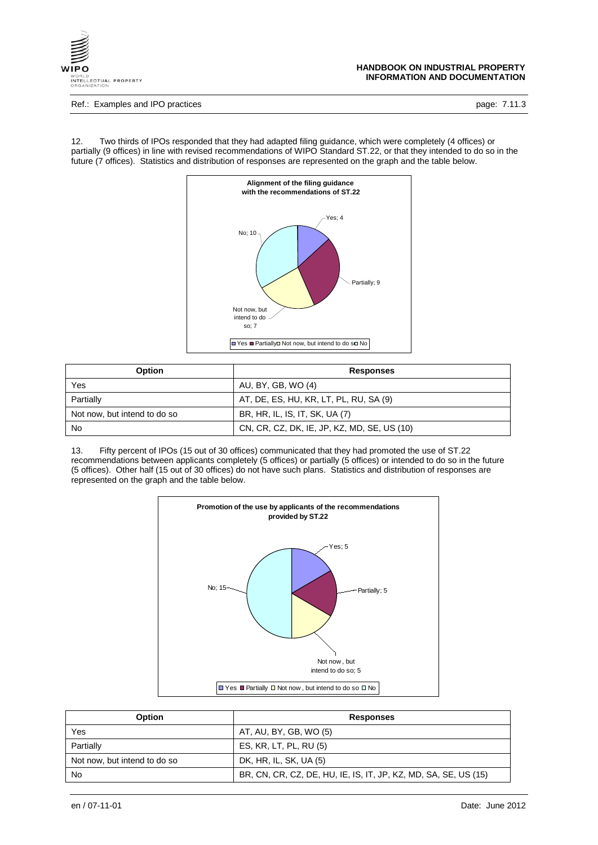

#### Ref.: Examples and IPO practices **page: 7.11.3**

12. Two thirds of IPOs responded that they had adapted filing guidance, which were completely (4 offices) or partially (9 offices) in line with revised recommendations of WIPO Standard ST.22, or that they intended to do so in the future (7 offices). Statistics and distribution of responses are represented on the graph and the table below.



| <b>Option</b>                | <b>Responses</b>                            |  |
|------------------------------|---------------------------------------------|--|
| Yes                          | AU, BY, GB, WO (4)                          |  |
| Partially                    | AT, DE, ES, HU, KR, LT, PL, RU, SA (9)      |  |
| Not now, but intend to do so | BR, HR, IL, IS, IT, SK, UA (7)              |  |
| No                           | CN, CR, CZ, DK, IE, JP, KZ, MD, SE, US (10) |  |

13. Fifty percent of IPOs (15 out of 30 offices) communicated that they had promoted the use of ST.22 recommendations between applicants completely (5 offices) or partially (5 offices) or intended to do so in the future (5 offices). Other half (15 out of 30 offices) do not have such plans. Statistics and distribution of responses are represented on the graph and the table below.



| <b>Option</b>                | <b>Responses</b>                                                |
|------------------------------|-----------------------------------------------------------------|
| Yes                          | AT, AU, BY, GB, WO (5)                                          |
| Partially                    | ES, KR, LT, PL, RU (5)                                          |
| Not now, but intend to do so | DK, HR, IL, SK, UA (5)                                          |
| No                           | BR, CN, CR, CZ, DE, HU, IE, IS, IT, JP, KZ, MD, SA, SE, US (15) |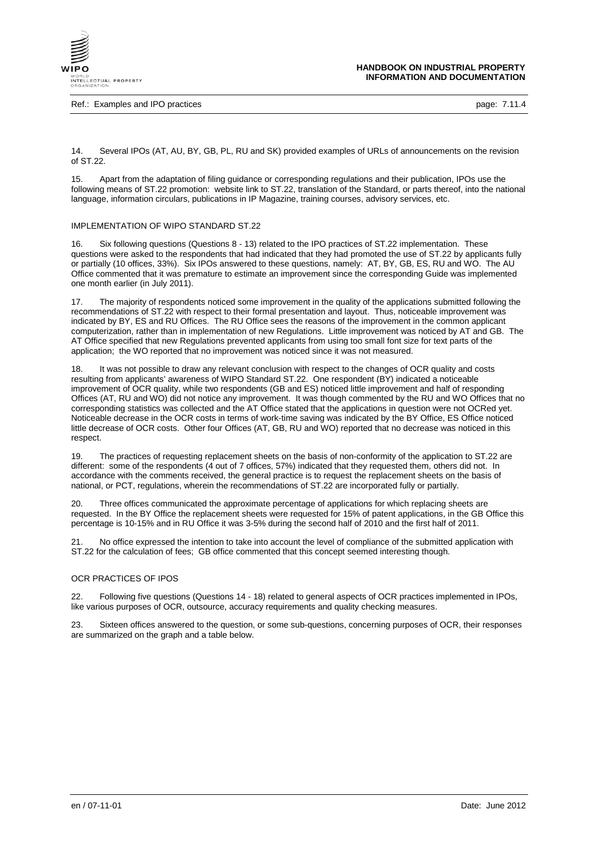

Ref.: Examples and IPO practices **page: 7.11.4** 

14. Several IPOs (AT, AU, BY, GB, PL, RU and SK) provided examples of URLs of announcements on the revision of ST.22.

15. Apart from the adaptation of filing guidance or corresponding regulations and their publication, IPOs use the following means of ST.22 promotion: website link to ST.22, translation of the Standard, or parts thereof, into the national language, information circulars, publications in IP Magazine, training courses, advisory services, etc.

## IMPLEMENTATION OF WIPO STANDARD ST.22

16. Six following questions (Questions 8 - 13) related to the IPO practices of ST.22 implementation. These questions were asked to the respondents that had indicated that they had promoted the use of ST.22 by applicants fully or partially (10 offices, 33%). Six IPOs answered to these questions, namely: AT, BY, GB, ES, RU and WO. The AU Office commented that it was premature to estimate an improvement since the corresponding Guide was implemented one month earlier (in July 2011).

17. The majority of respondents noticed some improvement in the quality of the applications submitted following the recommendations of ST.22 with respect to their formal presentation and layout. Thus, noticeable improvement was indicated by BY, ES and RU Offices. The RU Office sees the reasons of the improvement in the common applicant computerization, rather than in implementation of new Regulations. Little improvement was noticed by AT and GB. The AT Office specified that new Regulations prevented applicants from using too small font size for text parts of the application; the WO reported that no improvement was noticed since it was not measured.

18. It was not possible to draw any relevant conclusion with respect to the changes of OCR quality and costs resulting from applicants' awareness of WIPO Standard ST.22. One respondent (BY) indicated a noticeable improvement of OCR quality, while two respondents (GB and ES) noticed little improvement and half of responding Offices (AT, RU and WO) did not notice any improvement. It was though commented by the RU and WO Offices that no corresponding statistics was collected and the AT Office stated that the applications in question were not OCRed yet. Noticeable decrease in the OCR costs in terms of work-time saving was indicated by the BY Office, ES Office noticed little decrease of OCR costs. Other four Offices (AT, GB, RU and WO) reported that no decrease was noticed in this respect.

19. The practices of requesting replacement sheets on the basis of non-conformity of the application to ST.22 are different: some of the respondents (4 out of 7 offices, 57%) indicated that they requested them, others did not. In accordance with the comments received, the general practice is to request the replacement sheets on the basis of national, or PCT, regulations, wherein the recommendations of ST.22 are incorporated fully or partially.

20. Three offices communicated the approximate percentage of applications for which replacing sheets are requested. In the BY Office the replacement sheets were requested for 15% of patent applications, in the GB Office this percentage is 10-15% and in RU Office it was 3-5% during the second half of 2010 and the first half of 2011.

21. No office expressed the intention to take into account the level of compliance of the submitted application with ST.22 for the calculation of fees; GB office commented that this concept seemed interesting though.

### OCR PRACTICES OF IPOS

22. Following five questions (Questions 14 - 18) related to general aspects of OCR practices implemented in IPOs, like various purposes of OCR, outsource, accuracy requirements and quality checking measures.

23. Sixteen offices answered to the question, or some sub-questions, concerning purposes of OCR, their responses are summarized on the graph and a table below.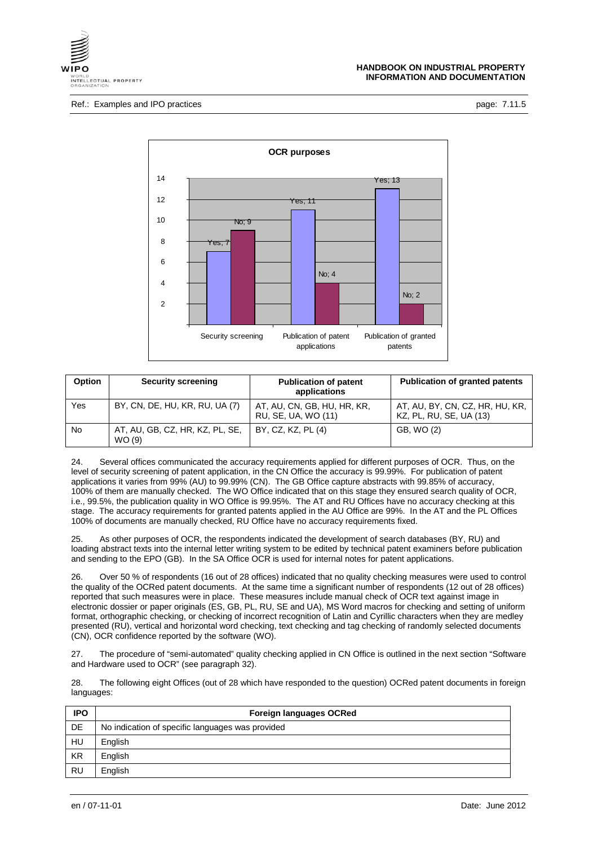



| Option    | <b>Security screening</b>                 | <b>Publication of patent</b><br>applications       | <b>Publication of granted patents</b>                      |
|-----------|-------------------------------------------|----------------------------------------------------|------------------------------------------------------------|
| Yes       | BY, CN, DE, HU, KR, RU, UA (7)            | AT, AU, CN, GB, HU, HR, KR,<br>RU, SE, UA, WO (11) | AT, AU, BY, CN, CZ, HR, HU, KR,<br>KZ, PL, RU, SE, UA (13) |
| <b>No</b> | AT, AU, GB, CZ, HR, KZ, PL, SE,<br>WO (9) | BY, CZ, KZ, PL (4)                                 | GB, WO (2)                                                 |

24. Several offices communicated the accuracy requirements applied for different purposes of OCR. Thus, on the level of security screening of patent application, in the CN Office the accuracy is 99.99%. For publication of patent applications it varies from 99% (AU) to 99.99% (CN). The GB Office capture abstracts with 99.85% of accuracy, 100% of them are manually checked. The WO Office indicated that on this stage they ensured search quality of OCR, i.e., 99.5%, the publication quality in WO Office is 99.95%. The AT and RU Offices have no accuracy checking at this stage. The accuracy requirements for granted patents applied in the AU Office are 99%. In the AT and the PL Offices 100% of documents are manually checked, RU Office have no accuracy requirements fixed.

25. As other purposes of OCR, the respondents indicated the development of search databases (BY, RU) and loading abstract texts into the internal letter writing system to be edited by technical patent examiners before publication and sending to the EPO (GB). In the SA Office OCR is used for internal notes for patent applications.

26. Over 50 % of respondents (16 out of 28 offices) indicated that no quality checking measures were used to control the quality of the OCRed patent documents. At the same time a significant number of respondents (12 out of 28 offices) reported that such measures were in place. These measures include manual check of OCR text against image in electronic dossier or paper originals (ES, GB, PL, RU, SE and UA), MS Word macros for checking and setting of uniform format, orthographic checking, or checking of incorrect recognition of Latin and Cyrillic characters when they are medley presented (RU), vertical and horizontal word checking, text checking and tag checking of randomly selected documents (CN), OCR confidence reported by the software (WO).

27. The procedure of "semi-automated" quality checking applied in CN Office is outlined in the next section "Software and Hardware used to OCR" (see paragraph 32).

28. The following eight Offices (out of 28 which have responded to the question) OCRed patent documents in foreign languages:

| <b>IPO</b> | <b>Foreign languages OCRed</b>                   |
|------------|--------------------------------------------------|
| <b>DE</b>  | No indication of specific languages was provided |
| HU         | English                                          |
| <b>KR</b>  | English                                          |
| RU         | English                                          |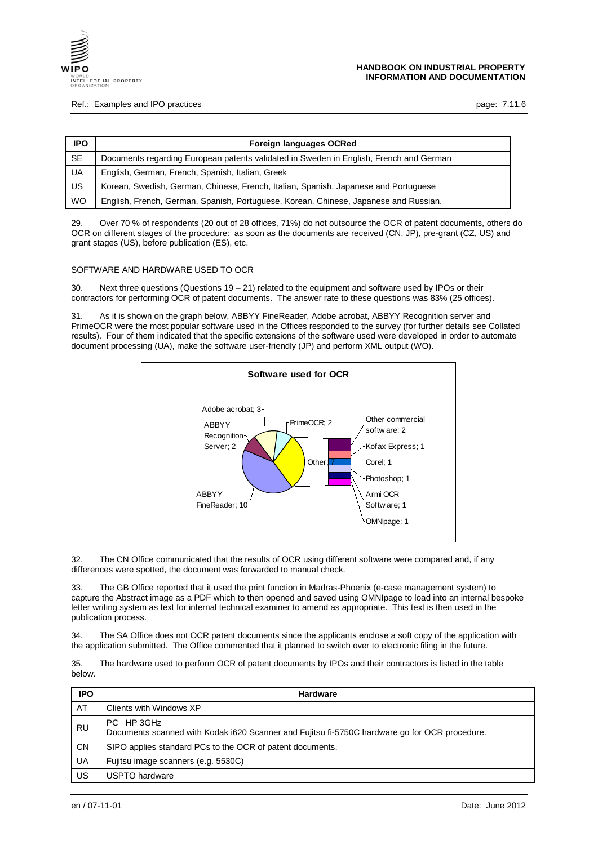

#### Ref.: Examples and IPO practices **page: 7.11.6** Page: 7.11.6

| IPO.      | Foreign languages OCRed                                                                |
|-----------|----------------------------------------------------------------------------------------|
| SE.       | Documents regarding European patents validated in Sweden in English, French and German |
| UA        | English, German, French, Spanish, Italian, Greek                                       |
| US        | Korean, Swedish, German, Chinese, French, Italian, Spanish, Japanese and Portuguese    |
| <b>WO</b> | English, French, German, Spanish, Portuguese, Korean, Chinese, Japanese and Russian.   |

29. Over 70 % of respondents (20 out of 28 offices, 71%) do not outsource the OCR of patent documents, others do OCR on different stages of the procedure: as soon as the documents are received (CN, JP), pre-grant (CZ, US) and grant stages (US), before publication (ES), etc.

## SOFTWARE AND HARDWARE USED TO OCR

30. Next three questions (Questions 19 – 21) related to the equipment and software used by IPOs or their contractors for performing OCR of patent documents. The answer rate to these questions was 83% (25 offices).

31. As it is shown on the graph below, ABBYY FineReader, Adobe acrobat, ABBYY Recognition server and PrimeOCR were the most popular software used in the Offices responded to the survey (for further details see Collated results). Four of them indicated that the specific extensions of the software used were developed in order to automate document processing (UA), make the software user-friendly (JP) and perform XML output (WO).



32. The CN Office communicated that the results of OCR using different software were compared and, if any differences were spotted, the document was forwarded to manual check.

33. The GB Office reported that it used the print function in Madras-Phoenix (e-case management system) to capture the Abstract image as a PDF which to then opened and saved using OMNIpage to load into an internal bespoke letter writing system as text for internal technical examiner to amend as appropriate. This text is then used in the publication process.

34. The SA Office does not OCR patent documents since the applicants enclose a soft copy of the application with the application submitted. The Office commented that it planned to switch over to electronic filing in the future.

35. The hardware used to perform OCR of patent documents by IPOs and their contractors is listed in the table below.

| <b>IPO</b> | <b>Hardware</b>                                                                                             |
|------------|-------------------------------------------------------------------------------------------------------------|
| AT         | Clients with Windows XP                                                                                     |
| <b>RU</b>  | PC HP 3GHz<br>Documents scanned with Kodak i620 Scanner and Fujitsu fi-5750C hardware go for OCR procedure. |
| <b>CN</b>  | SIPO applies standard PCs to the OCR of patent documents.                                                   |
| UA         | Fujitsu image scanners (e.g. 5530C)                                                                         |
| US         | USPTO hardware                                                                                              |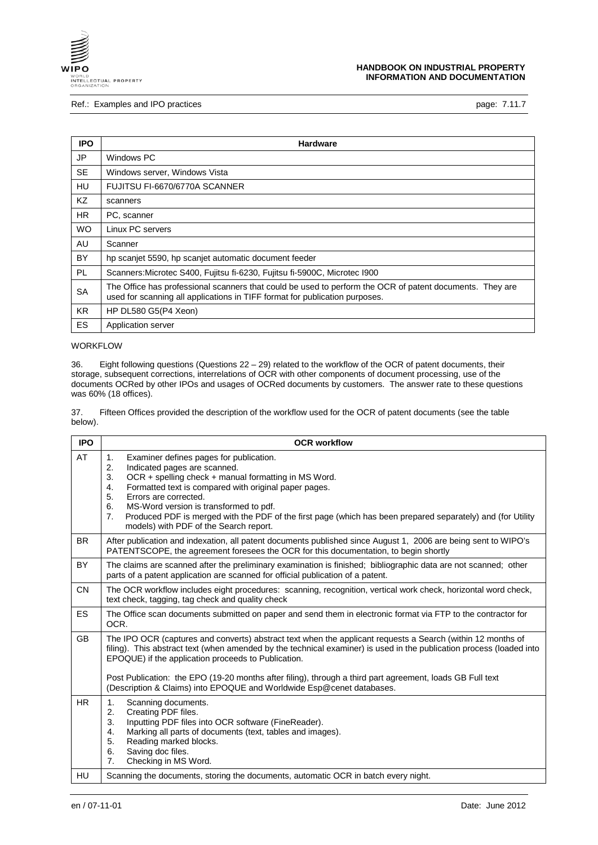

## Ref.: Examples and IPO practices **page: 7.11.7** and intervals and intervals page: 7.11.7

| <b>IPO</b> | <b>Hardware</b>                                                                                                                                                                         |
|------------|-----------------------------------------------------------------------------------------------------------------------------------------------------------------------------------------|
| JP         | Windows PC                                                                                                                                                                              |
| <b>SE</b>  | Windows server, Windows Vista                                                                                                                                                           |
| HU         | FUJITSU FI-6670/6770A SCANNER                                                                                                                                                           |
| KZ         | scanners                                                                                                                                                                                |
| HR.        | PC, scanner                                                                                                                                                                             |
| WO.        | Linux PC servers                                                                                                                                                                        |
| AU         | Scanner                                                                                                                                                                                 |
| BY         | hp scanjet 5590, hp scanjet automatic document feeder                                                                                                                                   |
| <b>PL</b>  | Scanners: Microtec S400, Fujitsu fi-6230, Fujitsu fi-5900C, Microtec I900                                                                                                               |
| <b>SA</b>  | The Office has professional scanners that could be used to perform the OCR of patent documents. They are<br>used for scanning all applications in TIFF format for publication purposes. |
| <b>KR</b>  | HP DL580 G5(P4 Xeon)                                                                                                                                                                    |
| ES.        | Application server                                                                                                                                                                      |

# WORKFLOW

36. Eight following questions (Questions 22 – 29) related to the workflow of the OCR of patent documents, their storage, subsequent corrections, interrelations of OCR with other components of document processing, use of the documents OCRed by other IPOs and usages of OCRed documents by customers. The answer rate to these questions was 60% (18 offices).

37. Fifteen Offices provided the description of the workflow used for the OCR of patent documents (see the table below).

| <b>IPO</b> | <b>OCR workflow</b>                                                                                                                                                                                                                                                                                                                                                                                                                                                              |
|------------|----------------------------------------------------------------------------------------------------------------------------------------------------------------------------------------------------------------------------------------------------------------------------------------------------------------------------------------------------------------------------------------------------------------------------------------------------------------------------------|
| AT         | 1.<br>Examiner defines pages for publication.<br>2.<br>Indicated pages are scanned.<br>3.<br>OCR + spelling check + manual formatting in MS Word.<br>Formatted text is compared with original paper pages.<br>4.<br>5.<br>Errors are corrected.<br>6.<br>MS-Word version is transformed to pdf.<br>7.<br>Produced PDF is merged with the PDF of the first page (which has been prepared separately) and (for Utility<br>models) with PDF of the Search report.                   |
| <b>BR</b>  | After publication and indexation, all patent documents published since August 1, 2006 are being sent to WIPO's<br>PATENTSCOPE, the agreement foresees the OCR for this documentation, to begin shortly                                                                                                                                                                                                                                                                           |
| <b>BY</b>  | The claims are scanned after the preliminary examination is finished; bibliographic data are not scanned; other<br>parts of a patent application are scanned for official publication of a patent.                                                                                                                                                                                                                                                                               |
| <b>CN</b>  | The OCR workflow includes eight procedures: scanning, recognition, vertical work check, horizontal word check,<br>text check, tagging, tag check and quality check                                                                                                                                                                                                                                                                                                               |
| ES         | The Office scan documents submitted on paper and send them in electronic format via FTP to the contractor for<br>OCR.                                                                                                                                                                                                                                                                                                                                                            |
| <b>GB</b>  | The IPO OCR (captures and converts) abstract text when the applicant requests a Search (within 12 months of<br>filing). This abstract text (when amended by the technical examiner) is used in the publication process (loaded into<br>EPOQUE) if the application proceeds to Publication.<br>Post Publication: the EPO (19-20 months after filing), through a third part agreement, loads GB Full text<br>(Description & Claims) into EPOQUE and Worldwide Esp@cenet databases. |
| <b>HR</b>  | 1.<br>Scanning documents.<br>2.<br>Creating PDF files.<br>3.<br>Inputting PDF files into OCR software (FineReader).<br>Marking all parts of documents (text, tables and images).<br>4.<br>5.<br>Reading marked blocks.<br>6.<br>Saving doc files.<br>7.<br>Checking in MS Word.                                                                                                                                                                                                  |
| HU         | Scanning the documents, storing the documents, automatic OCR in batch every night.                                                                                                                                                                                                                                                                                                                                                                                               |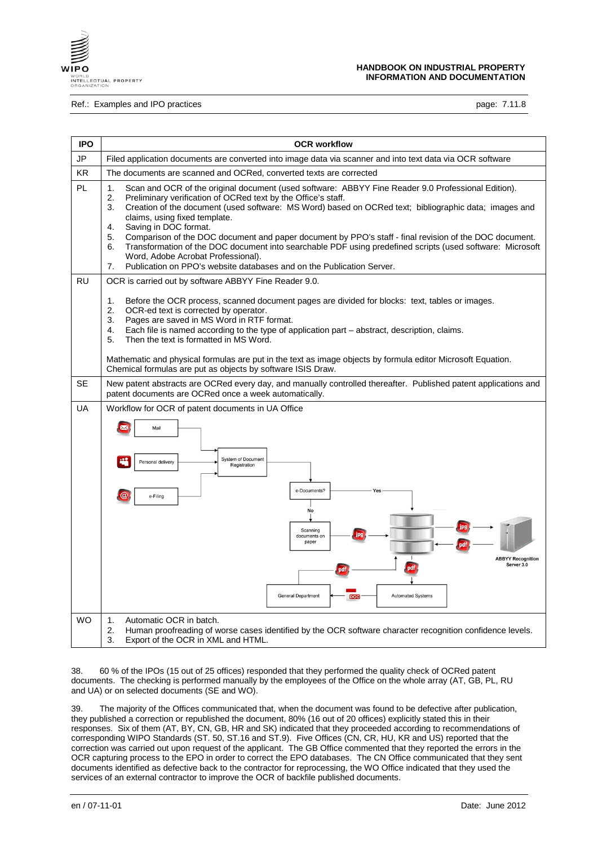

### Ref.: Examples and IPO practices **page: 7.11.8** contract page: 7.11.8

| <b>IPO</b> | <b>OCR workflow</b>                                                                                                                                                                                                                                                                                                                                                                                                                                                                                                                                                                                                                                                                                                                |  |  |
|------------|------------------------------------------------------------------------------------------------------------------------------------------------------------------------------------------------------------------------------------------------------------------------------------------------------------------------------------------------------------------------------------------------------------------------------------------------------------------------------------------------------------------------------------------------------------------------------------------------------------------------------------------------------------------------------------------------------------------------------------|--|--|
| JP         | Filed application documents are converted into image data via scanner and into text data via OCR software                                                                                                                                                                                                                                                                                                                                                                                                                                                                                                                                                                                                                          |  |  |
| KR.        | The documents are scanned and OCRed, converted texts are corrected                                                                                                                                                                                                                                                                                                                                                                                                                                                                                                                                                                                                                                                                 |  |  |
| PL         | 1.<br>Scan and OCR of the original document (used software: ABBYY Fine Reader 9.0 Professional Edition).<br>2.<br>Preliminary verification of OCRed text by the Office's staff.<br>Creation of the document (used software: MS Word) based on OCRed text; bibliographic data; images and<br>3.<br>claims, using fixed template.<br>Saving in DOC format.<br>$\mathbf{4}$ .<br>5.<br>Comparison of the DOC document and paper document by PPO's staff - final revision of the DOC document.<br>Transformation of the DOC document into searchable PDF using predefined scripts (used software: Microsoft<br>6.<br>Word, Adobe Acrobat Professional).<br>Publication on PPO's website databases and on the Publication Server.<br>7. |  |  |
| <b>RU</b>  | OCR is carried out by software ABBYY Fine Reader 9.0.                                                                                                                                                                                                                                                                                                                                                                                                                                                                                                                                                                                                                                                                              |  |  |
|            | 1.<br>Before the OCR process, scanned document pages are divided for blocks: text, tables or images.<br>2.<br>OCR-ed text is corrected by operator.<br>3.<br>Pages are saved in MS Word in RTF format.<br>$\overline{4}$ .<br>Each file is named according to the type of application part - abstract, description, claims.<br>5.<br>Then the text is formatted in MS Word.<br>Mathematic and physical formulas are put in the text as image objects by formula editor Microsoft Equation.<br>Chemical formulas are put as objects by software ISIS Draw.                                                                                                                                                                          |  |  |
| <b>SE</b>  | New patent abstracts are OCRed every day, and manually controlled thereafter. Published patent applications and<br>patent documents are OCRed once a week automatically.                                                                                                                                                                                                                                                                                                                                                                                                                                                                                                                                                           |  |  |
| UA         | Workflow for OCR of patent documents in UA Office<br>Mail<br><b>System of Document</b><br>Personal delivery<br>Registration<br>e-Documents?<br>$\omega$<br>e-Filing<br><b>No</b><br>Scanning<br>documents on<br>paper<br><b>ABBYY Recognition</b><br>Server 3.0<br><b>General Department</b><br><b>Automated Systems</b><br>DOC                                                                                                                                                                                                                                                                                                                                                                                                    |  |  |
| <b>WO</b>  | Automatic OCR in batch.<br>1.<br>2.<br>Human proofreading of worse cases identified by the OCR software character recognition confidence levels.<br>3.<br>Export of the OCR in XML and HTML.                                                                                                                                                                                                                                                                                                                                                                                                                                                                                                                                       |  |  |

38. 60 % of the IPOs (15 out of 25 offices) responded that they performed the quality check of OCRed patent documents. The checking is performed manually by the employees of the Office on the whole array (AT, GB, PL, RU and UA) or on selected documents (SE and WO).

39. The majority of the Offices communicated that, when the document was found to be defective after publication, they published a correction or republished the document, 80% (16 out of 20 offices) explicitly stated this in their responses. Six of them (AT, BY, CN, GB, HR and SK) indicated that they proceeded according to recommendations of corresponding WIPO Standards (ST. 50, ST.16 and ST.9). Five Offices (CN, CR, HU, KR and US) reported that the correction was carried out upon request of the applicant. The GB Office commented that they reported the errors in the OCR capturing process to the EPO in order to correct the EPO databases. The CN Office communicated that they sent documents identified as defective back to the contractor for reprocessing, the WO Office indicated that they used the services of an external contractor to improve the OCR of backfile published documents.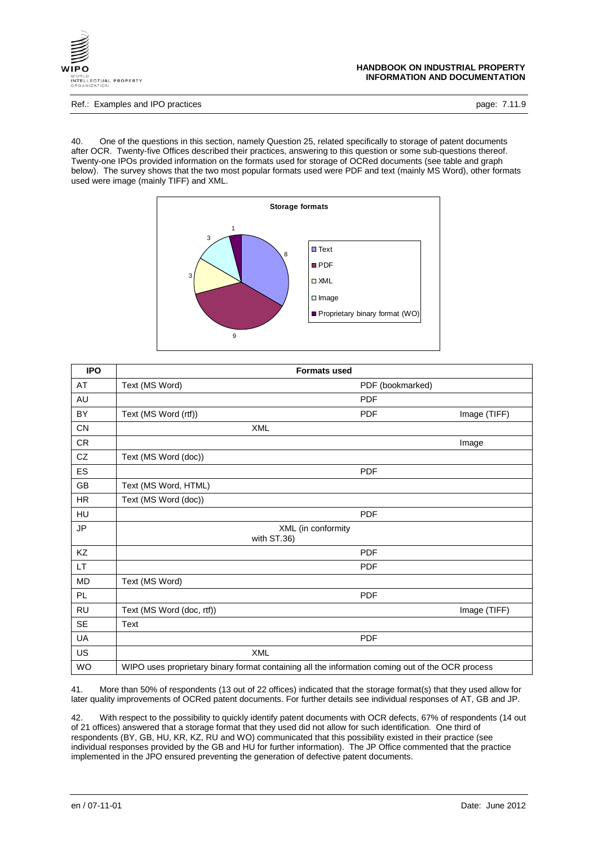

Ref.: Examples and IPO practices **page: 7.11.9** and intervals and intervals page: 7.11.9

40. One of the questions in this section, namely Question 25, related specifically to storage of patent documents after OCR. Twenty-five Offices described their practices, answering to this question or some sub-questions thereof. Twenty-one IPOs provided information on the formats used for storage of OCRed documents (see table and graph below). The survey shows that the two most popular formats used were PDF and text (mainly MS Word), other formats used were image (mainly TIFF) and XML.



| <b>IPO</b>    | <b>Formats used</b>                                                                              |                  |              |
|---------------|--------------------------------------------------------------------------------------------------|------------------|--------------|
| AT            | Text (MS Word)                                                                                   | PDF (bookmarked) |              |
| AU            |                                                                                                  | <b>PDF</b>       |              |
| BY            | Text (MS Word (rtf))                                                                             | <b>PDF</b>       | Image (TIFF) |
| CN            | <b>XML</b>                                                                                       |                  |              |
| ${\sf CR}$    |                                                                                                  |                  | Image        |
| CZ            | Text (MS Word (doc))                                                                             |                  |              |
| ES            |                                                                                                  | <b>PDF</b>       |              |
| GB            | Text (MS Word, HTML)                                                                             |                  |              |
| HR            | Text (MS Word (doc))                                                                             |                  |              |
| HU            |                                                                                                  | <b>PDF</b>       |              |
| $\mathsf{JP}$ | XML (in conformity<br>with ST.36)                                                                |                  |              |
| KZ            |                                                                                                  | <b>PDF</b>       |              |
| LT.           |                                                                                                  | <b>PDF</b>       |              |
| MD            | Text (MS Word)                                                                                   |                  |              |
| PL.           |                                                                                                  | <b>PDF</b>       |              |
| <b>RU</b>     | Text (MS Word (doc, rtf))                                                                        |                  | Image (TIFF) |
| <b>SE</b>     | Text                                                                                             |                  |              |
| UA            |                                                                                                  | <b>PDF</b>       |              |
| US            | <b>XML</b>                                                                                       |                  |              |
| WO            | WIPO uses proprietary binary format containing all the information coming out of the OCR process |                  |              |

41. More than 50% of respondents (13 out of 22 offices) indicated that the storage format(s) that they used allow for later quality improvements of OCRed patent documents. For further details see individual responses of AT, GB and JP.

42. With respect to the possibility to quickly identify patent documents with OCR defects, 67% of respondents (14 out of 21 offices) answered that a storage format that they used did not allow for such identification. One third of respondents (BY, GB, HU, KR, KZ, RU and WO) communicated that this possibility existed in their practice (see individual responses provided by the GB and HU for further information). The JP Office commented that the practice implemented in the JPO ensured preventing the generation of defective patent documents.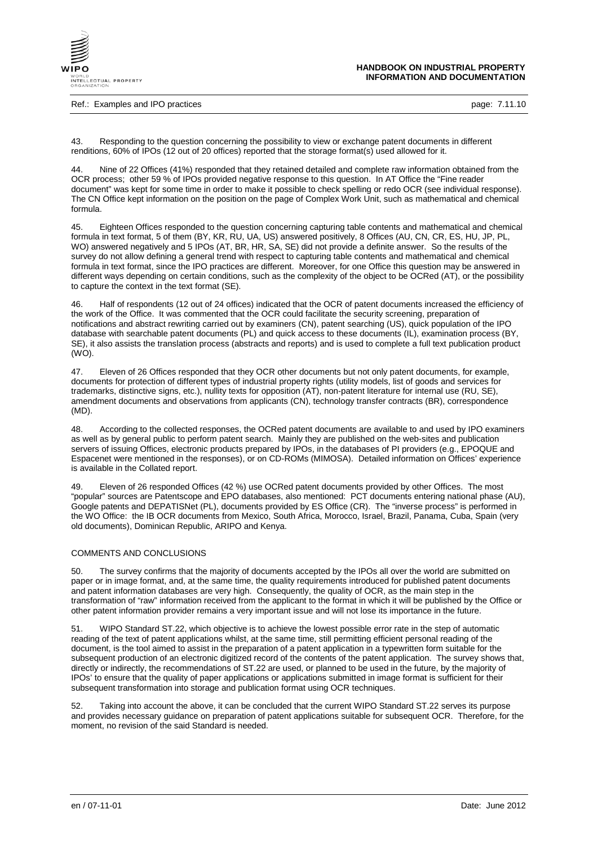

Ref.: Examples and IPO practices **page: 7.11.10** 

43. Responding to the question concerning the possibility to view or exchange patent documents in different renditions, 60% of IPOs (12 out of 20 offices) reported that the storage format(s) used allowed for it.

44. Nine of 22 Offices (41%) responded that they retained detailed and complete raw information obtained from the OCR process; other 59 % of IPOs provided negative response to this question. In AT Office the "Fine reader document" was kept for some time in order to make it possible to check spelling or redo OCR (see individual response). The CN Office kept information on the position on the page of Complex Work Unit, such as mathematical and chemical formula.

45. Eighteen Offices responded to the question concerning capturing table contents and mathematical and chemical formula in text format, 5 of them (BY, KR, RU, UA, US) answered positively, 8 Offices (AU, CN, CR, ES, HU, JP, PL, WO) answered negatively and 5 IPOs (AT, BR, HR, SA, SE) did not provide a definite answer. So the results of the survey do not allow defining a general trend with respect to capturing table contents and mathematical and chemical formula in text format, since the IPO practices are different. Moreover, for one Office this question may be answered in different ways depending on certain conditions, such as the complexity of the object to be OCRed (AT), or the possibility to capture the context in the text format (SE).

46. Half of respondents (12 out of 24 offices) indicated that the OCR of patent documents increased the efficiency of the work of the Office. It was commented that the OCR could facilitate the security screening, preparation of notifications and abstract rewriting carried out by examiners (CN), patent searching (US), quick population of the IPO database with searchable patent documents (PL) and quick access to these documents (IL), examination process (BY, SE), it also assists the translation process (abstracts and reports) and is used to complete a full text publication product (WO).

47. Eleven of 26 Offices responded that they OCR other documents but not only patent documents, for example, documents for protection of different types of industrial property rights (utility models, list of goods and services for trademarks, distinctive signs, etc.), nullity texts for opposition (AT), non-patent literature for internal use (RU, SE), amendment documents and observations from applicants (CN), technology transfer contracts (BR), correspondence (MD).

48. According to the collected responses, the OCRed patent documents are available to and used by IPO examiners as well as by general public to perform patent search. Mainly they are published on the web-sites and publication servers of issuing Offices, electronic products prepared by IPOs, in the databases of PI providers (e.g., EPOQUE and Espacenet were mentioned in the responses), or on CD-ROMs (MIMOSA). Detailed information on Offices' experience is available in the Collated report.

49. Eleven of 26 responded Offices (42 %) use OCRed patent documents provided by other Offices. The most "popular" sources are Patentscope and EPO databases, also mentioned: PCT documents entering national phase (AU), Google patents and DEPATISNet (PL), documents provided by ES Office (CR). The "inverse process" is performed in the WO Office: the IB OCR documents from Mexico, South Africa, Morocco, Israel, Brazil, Panama, Cuba, Spain (very old documents), Dominican Republic, ARIPO and Kenya.

## COMMENTS AND CONCLUSIONS

50. The survey confirms that the majority of documents accepted by the IPOs all over the world are submitted on paper or in image format, and, at the same time, the quality requirements introduced for published patent documents and patent information databases are very high. Consequently, the quality of OCR, as the main step in the transformation of "raw" information received from the applicant to the format in which it will be published by the Office or other patent information provider remains a very important issue and will not lose its importance in the future.

51. WIPO Standard ST.22, which objective is to achieve the lowest possible error rate in the step of automatic reading of the text of patent applications whilst, at the same time, still permitting efficient personal reading of the document, is the tool aimed to assist in the preparation of a patent application in a typewritten form suitable for the subsequent production of an electronic digitized record of the contents of the patent application. The survey shows that, directly or indirectly, the recommendations of ST.22 are used, or planned to be used in the future, by the majority of IPOs' to ensure that the quality of paper applications or applications submitted in image format is sufficient for their subsequent transformation into storage and publication format using OCR techniques.

52. Taking into account the above, it can be concluded that the current WIPO Standard ST.22 serves its purpose and provides necessary guidance on preparation of patent applications suitable for subsequent OCR. Therefore, for the moment, no revision of the said Standard is needed.